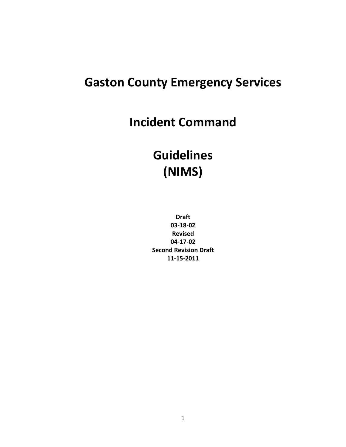# **Gaston County Emergency Services**

**Incident Command**

# **Guidelines (NIMS)**

**Draft 03-18-02 Revised 04-17-02 Second Revision Draft 11-15-2011**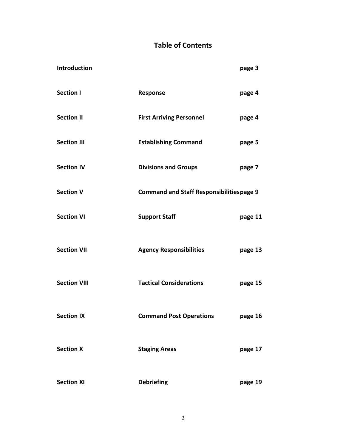# **Table of Contents**

| Introduction        |                                                 | page 3  |  |
|---------------------|-------------------------------------------------|---------|--|
| <b>Section I</b>    | <b>Response</b>                                 | page 4  |  |
| <b>Section II</b>   | <b>First Arriving Personnel</b>                 | page 4  |  |
| <b>Section III</b>  | <b>Establishing Command</b>                     | page 5  |  |
| <b>Section IV</b>   | <b>Divisions and Groups</b>                     | page 7  |  |
| <b>Section V</b>    | <b>Command and Staff Responsibilitiespage 9</b> |         |  |
| <b>Section VI</b>   | <b>Support Staff</b>                            | page 11 |  |
| <b>Section VII</b>  | <b>Agency Responsibilities</b>                  | page 13 |  |
| <b>Section VIII</b> | <b>Tactical Considerations</b>                  | page 15 |  |
| <b>Section IX</b>   | <b>Command Post Operations</b>                  | page 16 |  |
| <b>Section X</b>    | <b>Staging Areas</b>                            | page 17 |  |
| <b>Section XI</b>   | <b>Debriefing</b>                               | page 19 |  |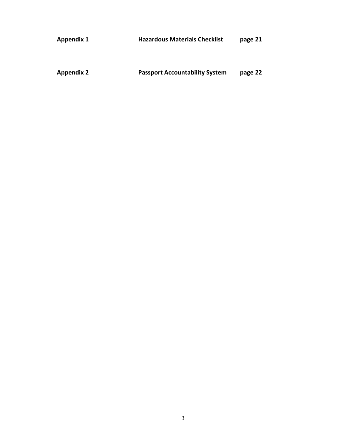| <b>Appendix 1</b> | <b>Hazardous Materials Checklist</b>  | page 21 |
|-------------------|---------------------------------------|---------|
|                   |                                       |         |
| <b>Appendix 2</b> | <b>Passport Accountability System</b> | page 22 |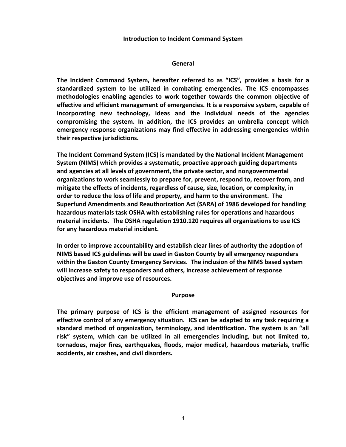#### **Introduction to Incident Command System**

#### **General**

**The Incident Command System, hereafter referred to as "ICS", provides a basis for a standardized system to be utilized in combating emergencies. The ICS encompasses methodologies enabling agencies to work together towards the common objective of effective and efficient management of emergencies. It is a responsive system, capable of incorporating new technology, ideas and the individual needs of the agencies compromising the system. In addition, the ICS provides an umbrella concept which emergency response organizations may find effective in addressing emergencies within their respective jurisdictions.** 

**The Incident Command System (ICS) is mandated by the National Incident Management System (NIMS) which provides a systematic, proactive approach guiding departments and agencies at all levels of government, the private sector, and nongovernmental organizations to work seamlessly to prepare for, prevent, respond to, recover from, and mitigate the effects of incidents, regardless of cause, size, location, or complexity, in order to reduce the loss of life and property, and harm to the environment. The Superfund Amendments and Reauthorization Act (SARA) of 1986 developed for handling hazardous materials task OSHA with establishing rules for operations and hazardous material incidents. The OSHA regulation 1910.120 requires all organizations to use ICS for any hazardous material incident.**

**In order to improve accountability and establish clear lines of authority the adoption of NIMS based ICS guidelines will be used in Gaston County by all emergency responders within the Gaston County Emergency Services. The inclusion of the NIMS based system will increase safety to responders and others, increase achievement of response objectives and improve use of resources.**

#### **Purpose**

**The primary purpose of ICS is the efficient management of assigned resources for effective control of any emergency situation. ICS can be adapted to any task requiring a standard method of organization, terminology, and identification. The system is an "all risk" system, which can be utilized in all emergencies including, but not limited to, tornadoes, major fires, earthquakes, floods, major medical, hazardous materials, traffic accidents, air crashes, and civil disorders.**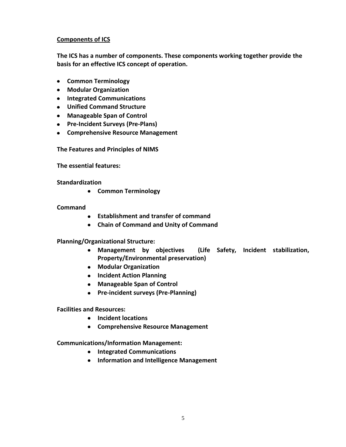# **Components of ICS**

**The ICS has a number of components. These components working together provide the basis for an effective ICS concept of operation.**

- **Common Terminology**
- **Modular Organization**
- **Integrated Communications**
- **Unified Command Structure**
- **Manageable Span of Control**
- **Pre-Incident Surveys (Pre-Plans)**
- **Comprehensive Resource Management**

**The Features and Principles of NIMS**

**The essential features:**

**Standardization** 

**Common Terminology**

# **Command**

- **Establishment and transfer of command**
- **Chain of Command and Unity of Command**

# **Planning/Organizational Structure:**

- **Management by objectives (Life Safety, Incident stabilization, Property/Environmental preservation)**
- **Modular Organization**
- **Incident Action Planning**
- **Manageable Span of Control**
- **Pre-incident surveys (Pre-Planning)**

# **Facilities and Resources:**

- **Incident locations**
- **Comprehensive Resource Management**

**Communications/Information Management:**

- **Integrated Communications**
- **Information and Intelligence Management**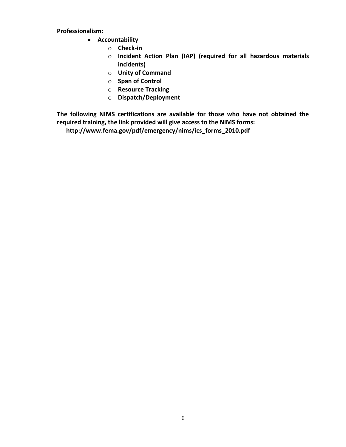**Professionalism:**

- **Accountability**
	- o **Check-in**
	- o **Incident Action Plan (IAP) (required for all hazardous materials incidents)**
	- o **Unity of Command**
	- o **Span of Control**
	- o **Resource Tracking**
	- o **Dispatch/Deployment**

**The following NIMS certifications are available for those who have not obtained the required training, the link provided will give access to the NIMS forms:**

 **http://www.fema.gov/pdf/emergency/nims/ics\_forms\_2010.pdf**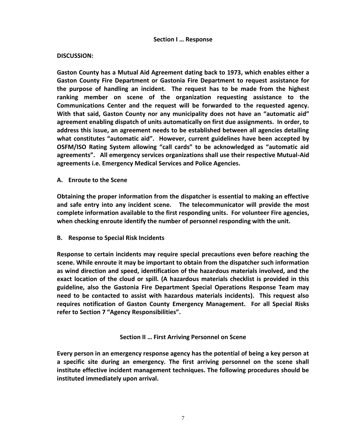#### **DISCUSSION:**

**Gaston County has a Mutual Aid Agreement dating back to 1973, which enables either a Gaston County Fire Department or Gastonia Fire Department to request assistance for the purpose of handling an incident. The request has to be made from the highest ranking member on scene of the organization requesting assistance to the Communications Center and the request will be forwarded to the requested agency. With that said, Gaston County nor any municipality does not have an "automatic aid" agreement enabling dispatch of units automatically on first due assignments. In order, to address this issue, an agreement needs to be established between all agencies detailing what constitutes "automatic aid". However, current guidelines have been accepted by OSFM/ISO Rating System allowing "call cards" to be acknowledged as "automatic aid agreements". All emergency services organizations shall use their respective Mutual-Aid agreements i.e. Emergency Medical Services and Police Agencies.**

**A. Enroute to the Scene**

**Obtaining the proper information from the dispatcher is essential to making an effective and safe entry into any incident scene. The telecommunicator will provide the most complete information available to the first responding units. For volunteer Fire agencies, when checking enroute identify the number of personnel responding with the unit.**

**B. Response to Special Risk Incidents**

**Response to certain incidents may require special precautions even before reaching the scene. While enroute it may be important to obtain from the dispatcher such information as wind direction and speed, identification of the hazardous materials involved, and the exact location of the cloud or spill. (A hazardous materials checklist is provided in this guideline, also the Gastonia Fire Department Special Operations Response Team may need to be contacted to assist with hazardous materials incidents). This request also requires notification of Gaston County Emergency Management. For all Special Risks refer to Section 7 "Agency Responsibilities".**

**Section II … First Arriving Personnel on Scene**

**Every person in an emergency response agency has the potential of being a key person at a specific site during an emergency. The first arriving personnel on the scene shall institute effective incident management techniques. The following procedures should be instituted immediately upon arrival.**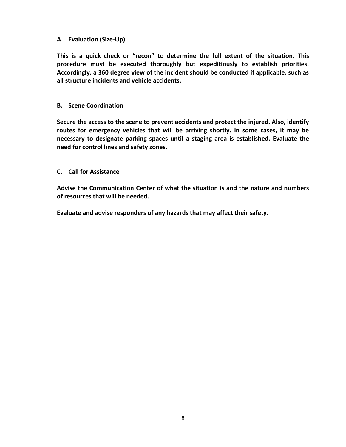# **A. Evaluation (Size-Up)**

**This is a quick check or "recon" to determine the full extent of the situation. This procedure must be executed thoroughly but expeditiously to establish priorities. Accordingly, a 360 degree view of the incident should be conducted if applicable, such as all structure incidents and vehicle accidents.**

### **B. Scene Coordination**

**Secure the access to the scene to prevent accidents and protect the injured. Also, identify routes for emergency vehicles that will be arriving shortly. In some cases, it may be necessary to designate parking spaces until a staging area is established. Evaluate the need for control lines and safety zones.**

#### **C. Call for Assistance**

**Advise the Communication Center of what the situation is and the nature and numbers of resources that will be needed.**

**Evaluate and advise responders of any hazards that may affect their safety.**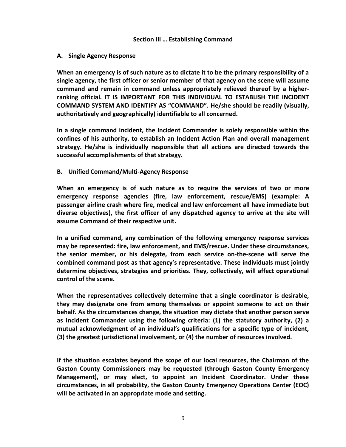#### **Section III … Establishing Command**

#### **A. Single Agency Response**

**When an emergency is of such nature as to dictate it to be the primary responsibility of a single agency, the first officer or senior member of that agency on the scene will assume command and remain in command unless appropriately relieved thereof by a higherranking official. IT IS IMPORTANT FOR THIS INDIVIDUAL TO ESTABLISH THE INCIDENT COMMAND SYSTEM AND IDENTIFY AS "COMMAND". He/she should be readily (visually, authoritatively and geographically) identifiable to all concerned.**

**In a single command incident, the Incident Commander is solely responsible within the confines of his authority, to establish an Incident Action Plan and overall management strategy. He/she is individually responsible that all actions are directed towards the successful accomplishments of that strategy.**

#### **B. Unified Command/Multi-Agency Response**

**When an emergency is of such nature as to require the services of two or more emergency response agencies (fire, law enforcement, rescue/EMS) (example: A passenger airline crash where fire, medical and law enforcement all have immediate but diverse objectives), the first officer of any dispatched agency to arrive at the site will assume Command of their respective unit.**

**In a unified command, any combination of the following emergency response services may be represented: fire, law enforcement, and EMS/rescue. Under these circumstances, the senior member, or his delegate, from each service on-the-scene will serve the combined command post as that agency's representative. These individuals must jointly determine objectives, strategies and priorities. They, collectively, will affect operational control of the scene.**

**When the representatives collectively determine that a single coordinator is desirable, they may designate one from among themselves or appoint someone to act on their behalf. As the circumstances change, the situation may dictate that another person serve as Incident Commander using the following criteria: (1) the statutory authority, (2) a mutual acknowledgment of an individual's qualifications for a specific type of incident, (3) the greatest jurisdictional involvement, or (4) the number of resources involved.**

**If the situation escalates beyond the scope of our local resources, the Chairman of the Gaston County Commissioners may be requested (through Gaston County Emergency Management), or may elect, to appoint an Incident Coordinator. Under these circumstances, in all probability, the Gaston County Emergency Operations Center (EOC) will be activated in an appropriate mode and setting.**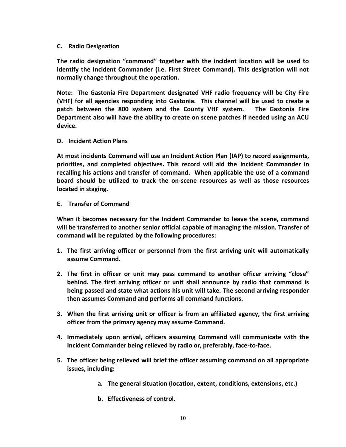#### **C. Radio Designation**

**The radio designation "command" together with the incident location will be used to identify the Incident Commander (i.e. First Street Command). This designation will not normally change throughout the operation.**

**Note: The Gastonia Fire Department designated VHF radio frequency will be City Fire (VHF) for all agencies responding into Gastonia. This channel will be used to create a patch between the 800 system and the County VHF system. The Gastonia Fire Department also will have the ability to create on scene patches if needed using an ACU device.**

#### **D. Incident Action Plans**

**At most incidents Command will use an Incident Action Plan (IAP) to record assignments, priorities, and completed objectives. This record will aid the Incident Commander in recalling his actions and transfer of command. When applicable the use of a command board should be utilized to track the on-scene resources as well as those resources located in staging.**

#### **E. Transfer of Command**

**When it becomes necessary for the Incident Commander to leave the scene, command will be transferred to another senior official capable of managing the mission. Transfer of command will be regulated by the following procedures:**

- **1. The first arriving officer or personnel from the first arriving unit will automatically assume Command.**
- **2. The first in officer or unit may pass command to another officer arriving "close" behind. The first arriving officer or unit shall announce by radio that command is being passed and state what actions his unit will take. The second arriving responder then assumes Command and performs all command functions.**
- **3. When the first arriving unit or officer is from an affiliated agency, the first arriving officer from the primary agency may assume Command.**
- **4. Immediately upon arrival, officers assuming Command will communicate with the Incident Commander being relieved by radio or, preferably, face-to-face.**
- **5. The officer being relieved will brief the officer assuming command on all appropriate issues, including:**
	- **a. The general situation (location, extent, conditions, extensions, etc.)**
	- **b. Effectiveness of control.**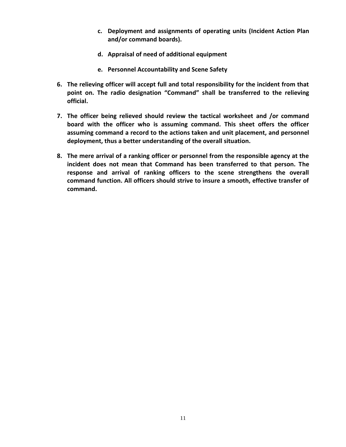- **c. Deployment and assignments of operating units (Incident Action Plan and/or command boards).**
- **d. Appraisal of need of additional equipment**
- **e. Personnel Accountability and Scene Safety**
- **6. The relieving officer will accept full and total responsibility for the incident from that point on. The radio designation "Command" shall be transferred to the relieving official.**
- **7. The officer being relieved should review the tactical worksheet and /or command board with the officer who is assuming command. This sheet offers the officer assuming command a record to the actions taken and unit placement, and personnel deployment, thus a better understanding of the overall situation.**
- **8. The mere arrival of a ranking officer or personnel from the responsible agency at the incident does not mean that Command has been transferred to that person. The response and arrival of ranking officers to the scene strengthens the overall command function. All officers should strive to insure a smooth, effective transfer of command.**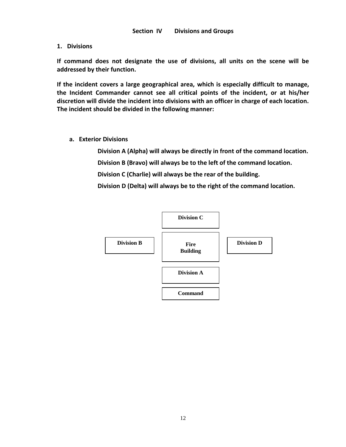**1. Divisions**

**If command does not designate the use of divisions, all units on the scene will be addressed by their function.**

**If the incident covers a large geographical area, which is especially difficult to manage, the Incident Commander cannot see all critical points of the incident, or at his/her discretion will divide the incident into divisions with an officer in charge of each location. The incident should be divided in the following manner:**

 **a. Exterior Divisions**

**Division A (Alpha) will always be directly in front of the command location.** 

**Division B (Bravo) will always be to the left of the command location.**

**Division C (Charlie) will always be the rear of the building.**

**Division D (Delta) will always be to the right of the command location.**

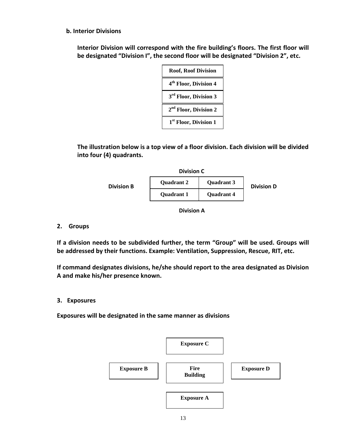### **b. Interior Divisions**

**Interior Division will correspond with the fire building's floors. The first floor will be designated "Division I", the second floor will be designated "Division 2", etc.**

| <b>Roof, Roof Division</b>        |
|-----------------------------------|
| 4 <sup>th</sup> Floor, Division 4 |
| 3 <sup>rd</sup> Floor, Division 3 |
| 2 <sup>nd</sup> Floor, Division 2 |
| 1 <sup>st</sup> Floor, Division 1 |

**The illustration below is a top view of a floor division. Each division will be divided into four (4) quadrants.**



**Division A**

### **2. Groups**

**If a division needs to be subdivided further, the term "Group" will be used. Groups will be addressed by their functions. Example: Ventilation, Suppression, Rescue, RIT, etc.**

**If command designates divisions, he/she should report to the area designated as Division A and make his/her presence known.**

#### **3. Exposures**

**Exposures will be designated in the same manner as divisions**

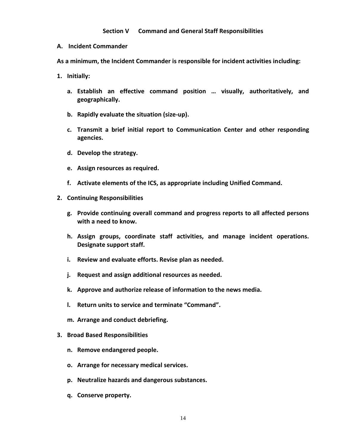#### **Section V Command and General Staff Responsibilities**

**A. Incident Commander**

**As a minimum, the Incident Commander is responsible for incident activities including:**

- **1. Initially:**
	- **a. Establish an effective command position … visually, authoritatively, and geographically.**
	- **b. Rapidly evaluate the situation (size-up).**
	- **c. Transmit a brief initial report to Communication Center and other responding agencies.**
	- **d. Develop the strategy.**
	- **e. Assign resources as required.**
	- **f. Activate elements of the ICS, as appropriate including Unified Command.**
- **2. Continuing Responsibilities**
	- **g. Provide continuing overall command and progress reports to all affected persons with a need to know.**
	- **h. Assign groups, coordinate staff activities, and manage incident operations. Designate support staff.**
	- **i. Review and evaluate efforts. Revise plan as needed.**
	- **j. Request and assign additional resources as needed.**
	- **k. Approve and authorize release of information to the news media.**
	- **l. Return units to service and terminate "Command".**
	- **m. Arrange and conduct debriefing.**

#### **3. Broad Based Responsibilities**

- **n. Remove endangered people.**
- **o. Arrange for necessary medical services.**
- **p. Neutralize hazards and dangerous substances.**
- **q. Conserve property.**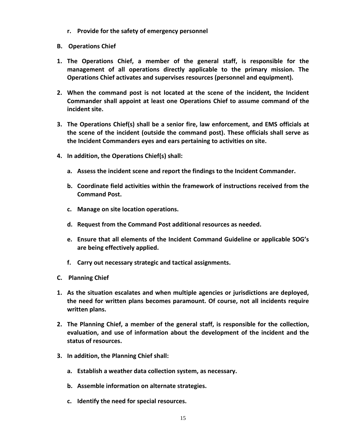- **r. Provide for the safety of emergency personnel**
- **B. Operations Chief**
- **1. The Operations Chief, a member of the general staff, is responsible for the management of all operations directly applicable to the primary mission. The Operations Chief activates and supervises resources (personnel and equipment).**
- **2. When the command post is not located at the scene of the incident, the Incident Commander shall appoint at least one Operations Chief to assume command of the incident site.**
- **3. The Operations Chief(s) shall be a senior fire, law enforcement, and EMS officials at the scene of the incident (outside the command post). These officials shall serve as the Incident Commanders eyes and ears pertaining to activities on site.**
- **4. In addition, the Operations Chief(s) shall:**
	- **a. Assess the incident scene and report the findings to the Incident Commander.**
	- **b. Coordinate field activities within the framework of instructions received from the Command Post.**
	- **c. Manage on site location operations.**
	- **d. Request from the Command Post additional resources as needed.**
	- **e. Ensure that all elements of the Incident Command Guideline or applicable SOG's are being effectively applied.**
	- **f. Carry out necessary strategic and tactical assignments.**
- **C. Planning Chief**
- **1. As the situation escalates and when multiple agencies or jurisdictions are deployed, the need for written plans becomes paramount. Of course, not all incidents require written plans.**
- **2. The Planning Chief, a member of the general staff, is responsible for the collection, evaluation, and use of information about the development of the incident and the status of resources.**
- **3. In addition, the Planning Chief shall:**
	- **a. Establish a weather data collection system, as necessary.**
	- **b. Assemble information on alternate strategies.**
	- **c. Identify the need for special resources.**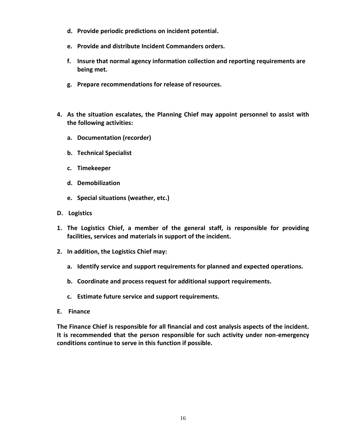- **d. Provide periodic predictions on incident potential.**
- **e. Provide and distribute Incident Commanders orders.**
- **f. Insure that normal agency information collection and reporting requirements are being met.**
- **g. Prepare recommendations for release of resources.**
- **4. As the situation escalates, the Planning Chief may appoint personnel to assist with the following activities:**
	- **a. Documentation (recorder)**
	- **b. Technical Specialist**
	- **c. Timekeeper**
	- **d. Demobilization**
	- **e. Special situations (weather, etc.)**
- **D. Logistics**
- **1. The Logistics Chief, a member of the general staff, is responsible for providing facilities, services and materials in support of the incident.**
- **2. In addition, the Logistics Chief may:**
	- **a. Identify service and support requirements for planned and expected operations.**
	- **b. Coordinate and process request for additional support requirements.**
	- **c. Estimate future service and support requirements.**
- **E. Finance**

**The Finance Chief is responsible for all financial and cost analysis aspects of the incident. It is recommended that the person responsible for such activity under non-emergency conditions continue to serve in this function if possible.**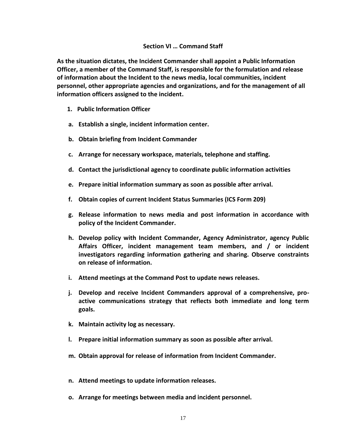#### **Section VI … Command Staff**

**As the situation dictates, the Incident Commander shall appoint a Public Information Officer, a member of the Command Staff, is responsible for the formulation and release of information about the Incident to the news media, local communities, incident personnel, other appropriate agencies and organizations, and for the management of all information officers assigned to the incident.**

- **1. Public Information Officer**
- **a. Establish a single, incident information center.**
- **b. Obtain briefing from Incident Commander**
- **c. Arrange for necessary workspace, materials, telephone and staffing.**
- **d. Contact the jurisdictional agency to coordinate public information activities**
- **e. Prepare initial information summary as soon as possible after arrival.**
- **f. Obtain copies of current Incident Status Summaries (ICS Form 209)**
- **g. Release information to news media and post information in accordance with policy of the Incident Commander.**
- **h. Develop policy with Incident Commander, Agency Administrator, agency Public Affairs Officer, incident management team members, and / or incident investigators regarding information gathering and sharing. Observe constraints on release of information.**
- **i. Attend meetings at the Command Post to update news releases.**
- **j. Develop and receive Incident Commanders approval of a comprehensive, proactive communications strategy that reflects both immediate and long term goals.**
- **k. Maintain activity log as necessary.**
- **l. Prepare initial information summary as soon as possible after arrival.**
- **m. Obtain approval for release of information from Incident Commander.**
- **n. Attend meetings to update information releases.**
- **o. Arrange for meetings between media and incident personnel.**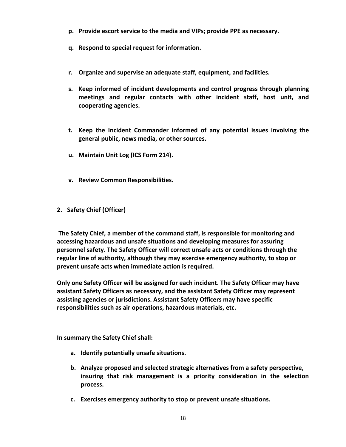- **p. Provide escort service to the media and VIPs; provide PPE as necessary.**
- **q. Respond to special request for information.**
- **r. Organize and supervise an adequate staff, equipment, and facilities.**
- **s. Keep informed of incident developments and control progress through planning meetings and regular contacts with other incident staff, host unit, and cooperating agencies.**
- **t. Keep the Incident Commander informed of any potential issues involving the general public, news media, or other sources.**
- **u. Maintain Unit Log (ICS Form 214).**
- **v. Review Common Responsibilities.**
- **2. Safety Chief (Officer)**

**The Safety Chief, a member of the command staff, is responsible for monitoring and accessing hazardous and unsafe situations and developing measures for assuring personnel safety. The Safety Officer will correct unsafe acts or conditions through the regular line of authority, although they may exercise emergency authority, to stop or prevent unsafe acts when immediate action is required.**

**Only one Safety Officer will be assigned for each incident. The Safety Officer may have assistant Safety Officers as necessary, and the assistant Safety Officer may represent assisting agencies or jurisdictions. Assistant Safety Officers may have specific responsibilities such as air operations, hazardous materials, etc.**

**In summary the Safety Chief shall:**

- **a. Identify potentially unsafe situations.**
- **b. Analyze proposed and selected strategic alternatives from a safety perspective, insuring that risk management is a priority consideration in the selection process.**
- **c. Exercises emergency authority to stop or prevent unsafe situations.**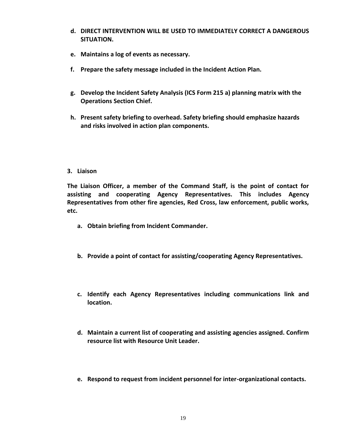- **d. DIRECT INTERVENTION WILL BE USED TO IMMEDIATELY CORRECT A DANGEROUS SITUATION.**
- **e. Maintains a log of events as necessary.**
- **f. Prepare the safety message included in the Incident Action Plan.**
- **g. Develop the Incident Safety Analysis (ICS Form 215 a) planning matrix with the Operations Section Chief.**
- **h. Present safety briefing to overhead. Safety briefing should emphasize hazards and risks involved in action plan components.**
- **3. Liaison**

**The Liaison Officer, a member of the Command Staff, is the point of contact for assisting and cooperating Agency Representatives. This includes Agency Representatives from other fire agencies, Red Cross, law enforcement, public works, etc.**

- **a. Obtain briefing from Incident Commander.**
- **b. Provide a point of contact for assisting/cooperating Agency Representatives.**
- **c. Identify each Agency Representatives including communications link and location.**
- **d. Maintain a current list of cooperating and assisting agencies assigned. Confirm resource list with Resource Unit Leader.**
- **e. Respond to request from incident personnel for inter-organizational contacts.**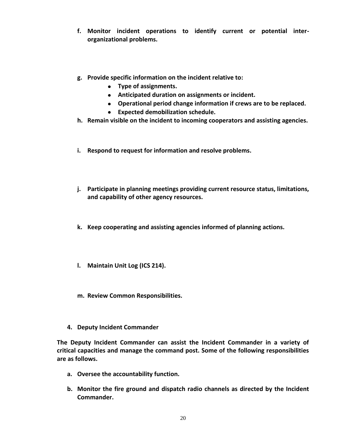- **f. Monitor incident operations to identify current or potential interorganizational problems.**
- **g. Provide specific information on the incident relative to:**
	- **Type of assignments.**
	- **Anticipated duration on assignments or incident.**
	- **Operational period change information if crews are to be replaced.**
	- **Expected demobilization schedule.**
- **h. Remain visible on the incident to incoming cooperators and assisting agencies.**
- **i. Respond to request for information and resolve problems.**
- **j. Participate in planning meetings providing current resource status, limitations, and capability of other agency resources.**
- **k. Keep cooperating and assisting agencies informed of planning actions.**
- **l. Maintain Unit Log (ICS 214).**
- **m. Review Common Responsibilities.**
- **4. Deputy Incident Commander**

**The Deputy Incident Commander can assist the Incident Commander in a variety of critical capacities and manage the command post. Some of the following responsibilities are as follows.**

- **a. Oversee the accountability function.**
- **b. Monitor the fire ground and dispatch radio channels as directed by the Incident Commander.**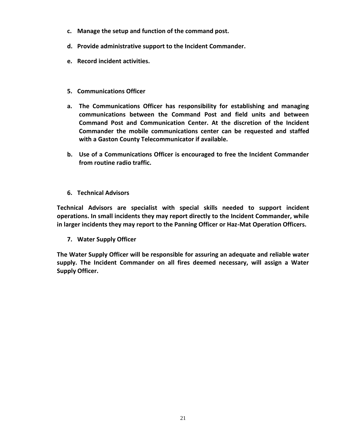- **c. Manage the setup and function of the command post.**
- **d. Provide administrative support to the Incident Commander.**
- **e. Record incident activities.**
- **5. Communications Officer**
- **a. The Communications Officer has responsibility for establishing and managing communications between the Command Post and field units and between Command Post and Communication Center. At the discretion of the Incident Commander the mobile communications center can be requested and staffed with a Gaston County Telecommunicator if available.**
- **b. Use of a Communications Officer is encouraged to free the Incident Commander from routine radio traffic.**
- **6. Technical Advisors**

**Technical Advisors are specialist with special skills needed to support incident operations. In small incidents they may report directly to the Incident Commander, while in larger incidents they may report to the Panning Officer or Haz-Mat Operation Officers.**

**7. Water Supply Officer**

**The Water Supply Officer will be responsible for assuring an adequate and reliable water supply. The Incident Commander on all fires deemed necessary, will assign a Water Supply Officer.**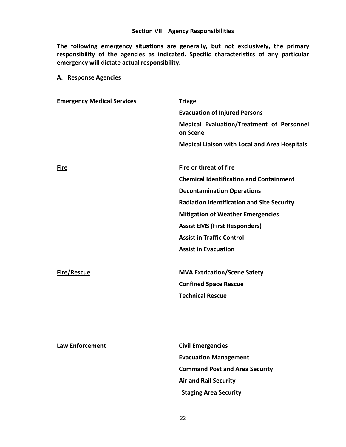**The following emergency situations are generally, but not exclusively, the primary responsibility of the agencies as indicated. Specific characteristics of any particular emergency will dictate actual responsibility.**

| A. Response Agencies |  |
|----------------------|--|
|----------------------|--|

| <b>Emergency Medical Services</b> | <b>Triage</b>                                         |
|-----------------------------------|-------------------------------------------------------|
|                                   | <b>Evacuation of Injured Persons</b>                  |
|                                   | Medical Evaluation/Treatment of Personnel<br>on Scene |
|                                   | <b>Medical Liaison with Local and Area Hospitals</b>  |
| <b>Fire</b>                       | Fire or threat of fire                                |
|                                   | <b>Chemical Identification and Containment</b>        |
|                                   | <b>Decontamination Operations</b>                     |
|                                   | <b>Radiation Identification and Site Security</b>     |
|                                   | <b>Mitigation of Weather Emergencies</b>              |
|                                   | <b>Assist EMS (First Responders)</b>                  |
|                                   | <b>Assist in Traffic Control</b>                      |
|                                   | <b>Assist in Evacuation</b>                           |
|                                   |                                                       |
| <b>Fire/Rescue</b>                | <b>MVA Extrication/Scene Safety</b>                   |
|                                   | <b>Confined Space Rescue</b>                          |
|                                   | <b>Technical Rescue</b>                               |
|                                   |                                                       |
|                                   |                                                       |
|                                   |                                                       |
|                                   |                                                       |

**Law Enforcement Civil Emergencies Evacuation Management Command Post and Area Security Air and Rail Security Staging Area Security**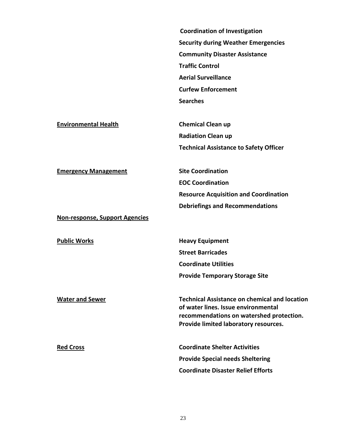**Coordination of Investigation Security during Weather Emergencies Community Disaster Assistance Traffic Control Aerial Surveillance Curfew Enforcement Searches**

**Environmental Health Chemical Clean up**

**Radiation Clean up Technical Assistance to Safety Officer** 

**Emergency Management Site Coordination**

**EOC Coordination Resource Acquisition and Coordination Debriefings and Recommendations**

**Non-response, Support Agencies**

**Public Works Heavy Equipment Street Barricades Coordinate Utilities Provide Temporary Storage Site**

**Water and Sewer Technical Assistance on chemical and location of water lines. Issue environmental recommendations on watershed protection. Provide limited laboratory resources.**

**Red Cross Coordinate Shelter Activities Provide Special needs Sheltering Coordinate Disaster Relief Efforts**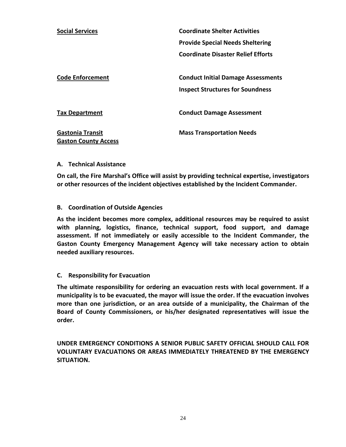| <b>Social Services</b>                                 | <b>Coordinate Shelter Activities</b>                                                 |
|--------------------------------------------------------|--------------------------------------------------------------------------------------|
|                                                        | <b>Provide Special Needs Sheltering</b>                                              |
|                                                        | <b>Coordinate Disaster Relief Efforts</b>                                            |
| <b>Code Enforcement</b>                                | <b>Conduct Initial Damage Assessments</b><br><b>Inspect Structures for Soundness</b> |
| <b>Tax Department</b>                                  | <b>Conduct Damage Assessment</b>                                                     |
| <b>Gastonia Transit</b><br><b>Gaston County Access</b> | <b>Mass Transportation Needs</b>                                                     |

#### **A. Technical Assistance**

**On call, the Fire Marshal's Office will assist by providing technical expertise, investigators or other resources of the incident objectives established by the Incident Commander.**

#### **B. Coordination of Outside Agencies**

**As the incident becomes more complex, additional resources may be required to assist with planning, logistics, finance, technical support, food support, and damage assessment. If not immediately or easily accessible to the Incident Commander, the Gaston County Emergency Management Agency will take necessary action to obtain needed auxiliary resources.**

#### **C. Responsibility for Evacuation**

**The ultimate responsibility for ordering an evacuation rests with local government. If a municipality is to be evacuated, the mayor will issue the order. If the evacuation involves more than one jurisdiction, or an area outside of a municipality, the Chairman of the Board of County Commissioners, or his/her designated representatives will issue the order.**

**UNDER EMERGENCY CONDITIONS A SENIOR PUBLIC SAFETY OFFICIAL SHOULD CALL FOR VOLUNTARY EVACUATIONS OR AREAS IMMEDIATELY THREATENED BY THE EMERGENCY SITUATION.**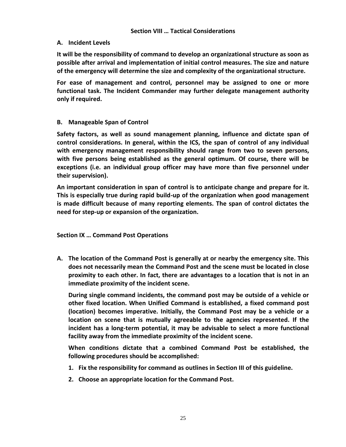#### **A. Incident Levels**

**It will be the responsibility of command to develop an organizational structure as soon as possible after arrival and implementation of initial control measures. The size and nature of the emergency will determine the size and complexity of the organizational structure.**

**For ease of management and control, personnel may be assigned to one or more functional task. The Incident Commander may further delegate management authority only if required.**

# **B. Manageable Span of Control**

**Safety factors, as well as sound management planning, influence and dictate span of control considerations. In general, within the ICS, the span of control of any individual with emergency management responsibility should range from two to seven persons, with five persons being established as the general optimum. Of course, there will be exceptions (i.e. an individual group officer may have more than five personnel under their supervision).**

**An important consideration in span of control is to anticipate change and prepare for it. This is especially true during rapid build-up of the organization when good management is made difficult because of many reporting elements. The span of control dictates the need for step-up or expansion of the organization.**

**Section IX … Command Post Operations**

**A. The location of the Command Post is generally at or nearby the emergency site. This does not necessarily mean the Command Post and the scene must be located in close proximity to each other. In fact, there are advantages to a location that is not in an immediate proximity of the incident scene.**

**During single command incidents, the command post may be outside of a vehicle or other fixed location. When Unified Command is established, a fixed command post (location) becomes imperative. Initially, the Command Post may be a vehicle or a location on scene that is mutually agreeable to the agencies represented. If the incident has a long-term potential, it may be advisable to select a more functional facility away from the immediate proximity of the incident scene.** 

**When conditions dictate that a combined Command Post be established, the following procedures should be accomplished:**

- **1. Fix the responsibility for command as outlines in Section III of this guideline.**
- **2. Choose an appropriate location for the Command Post.**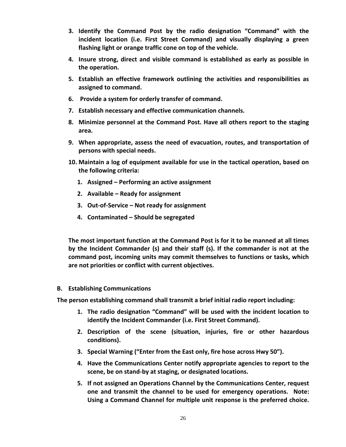- **3. Identify the Command Post by the radio designation "Command" with the incident location (i.e. First Street Command) and visually displaying a green flashing light or orange traffic cone on top of the vehicle.**
- **4. Insure strong, direct and visible command is established as early as possible in the operation.**
- **5. Establish an effective framework outlining the activities and responsibilities as assigned to command.**
- **6. Provide a system for orderly transfer of command.**
- **7. Establish necessary and effective communication channels.**
- **8. Minimize personnel at the Command Post. Have all others report to the staging area.**
- **9. When appropriate, assess the need of evacuation, routes, and transportation of persons with special needs.**
- **10. Maintain a log of equipment available for use in the tactical operation, based on the following criteria:**
	- **1. Assigned – Performing an active assignment**
	- **2. Available – Ready for assignment**
	- **3. Out-of-Service – Not ready for assignment**
	- **4. Contaminated – Should be segregated**

**The most important function at the Command Post is for it to be manned at all times by the Incident Commander (s) and their staff (s). If the commander is not at the command post, incoming units may commit themselves to functions or tasks, which are not priorities or conflict with current objectives.**

**B. Establishing Communications**

**The person establishing command shall transmit a brief initial radio report including:**

- **1. The radio designation "Command" will be used with the incident location to identify the Incident Commander (i.e. First Street Command).**
- **2. Description of the scene (situation, injuries, fire or other hazardous conditions).**
- **3. Special Warning ("Enter from the East only, fire hose across Hwy 50").**
- **4. Have the Communications Center notify appropriate agencies to report to the scene, be on stand-by at staging, or designated locations.**
- **5. If not assigned an Operations Channel by the Communications Center, request one and transmit the channel to be used for emergency operations. Note: Using a Command Channel for multiple unit response is the preferred choice.**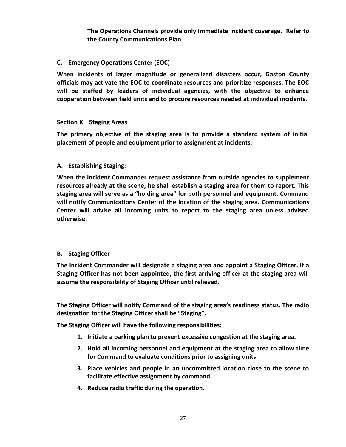**The Operations Channels provide only immediate incident coverage. Refer to the County Communications Plan**

### **C. Emergency Operations Center (EOC)**

**When incidents of larger magnitude or generalized disasters occur, Gaston County officials may activate the EOC to coordinate resources and prioritize responses. The EOC will be staffed by leaders of individual agencies, with the objective to enhance cooperation between field units and to procure resources needed at individual incidents.**

#### **Section X Staging Areas**

**The primary objective of the staging area is to provide a standard system of initial placement of people and equipment prior to assignment at incidents.**

#### **A. Establishing Staging:**

**When the Incident Commander request assistance from outside agencies to supplement resources already at the scene, he shall establish a staging area for them to report. This staging area will serve as a "holding area" for both personnel and equipment. Command will notify Communications Center of the location of the staging area. Communications Center will advise all incoming units to report to the staging area unless advised otherwise.**

#### **B. Staging Officer**

**The Incident Commander will designate a staging area and appoint a Staging Officer. If a Staging Officer has not been appointed, the first arriving officer at the staging area will assume the responsibility of Staging Officer until relieved.**

**The Staging Officer will notify Command of the staging area's readiness status. The radio designation for the Staging Officer shall be "Staging".**

**The Staging Officer will have the following responsibilities:**

- **1. Initiate a parking plan to prevent excessive congestion at the staging area.**
- **2. Hold all incoming personnel and equipment at the staging area to allow time for Command to evaluate conditions prior to assigning units.**
- **3. Place vehicles and people in an uncommitted location close to the scene to facilitate effective assignment by command.**
- **4. Reduce radio traffic during the operation.**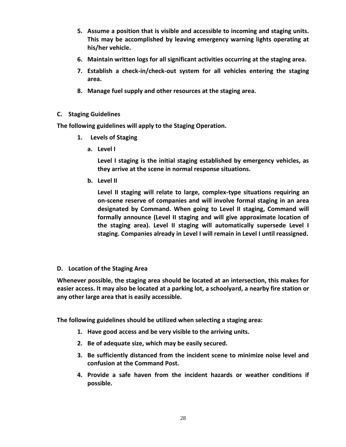- **5. Assume a position that is visible and accessible to incoming and staging units. This may be accomplished by leaving emergency warning lights operating at his/her vehicle.**
- **6. Maintain written logs for all significant activities occurring at the staging area.**
- **7. Establish a check-in/check-out system for all vehicles entering the staging area.**
- **8. Manage fuel supply and other resources at the staging area.**
- **C. Staging Guidelines**

**The following guidelines will apply to the Staging Operation.**

- **1. Levels of Staging**
	- **a. Level I**

**Level I staging is the initial staging established by emergency vehicles, as they arrive at the scene in normal response situations.**

**b. Level II**

**Level II staging will relate to large, complex-type situations requiring an on-scene reserve of companies and will involve formal staging in an area designated by Command. When going to Level II staging, Command will formally announce (Level II staging and will give approximate location of the staging area). Level II staging will automatically supersede Level I staging. Companies already in Level I will remain in Level I until reassigned.**

#### **D. Location of the Staging Area**

**Whenever possible, the staging area should be located at an intersection, this makes for easier access. It may also be located at a parking lot, a schoolyard, a nearby fire station or any other large area that is easily accessible.**

**The following guidelines should be utilized when selecting a staging area:**

- **1. Have good access and be very visible to the arriving units.**
- **2. Be of adequate size, which may be easily secured.**
- **3. Be sufficiently distanced from the incident scene to minimize noise level and confusion at the Command Post.**
- **4. Provide a safe haven from the incident hazards or weather conditions if possible.**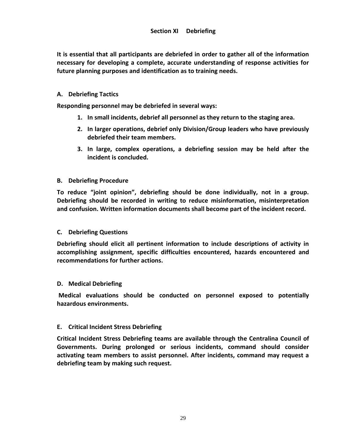**It is essential that all participants are debriefed in order to gather all of the information necessary for developing a complete, accurate understanding of response activities for future planning purposes and identification as to training needs.**

#### **A. Debriefing Tactics**

**Responding personnel may be debriefed in several ways:**

- **1. In small incidents, debrief all personnel as they return to the staging area.**
- **2. In larger operations, debrief only Division/Group leaders who have previously debriefed their team members.**
- **3. In large, complex operations, a debriefing session may be held after the incident is concluded.**

#### **B. Debriefing Procedure**

**To reduce "joint opinion", debriefing should be done individually, not in a group. Debriefing should be recorded in writing to reduce misinformation, misinterpretation and confusion. Written information documents shall become part of the incident record.**

#### **C. Debriefing Questions**

**Debriefing should elicit all pertinent information to include descriptions of activity in accomplishing assignment, specific difficulties encountered, hazards encountered and recommendations for further actions.**

#### **D. Medical Debriefing**

**Medical evaluations should be conducted on personnel exposed to potentially hazardous environments.**

#### **E. Critical Incident Stress Debriefing**

**Critical Incident Stress Debriefing teams are available through the Centralina Council of Governments. During prolonged or serious incidents, command should consider activating team members to assist personnel. After incidents, command may request a debriefing team by making such request.**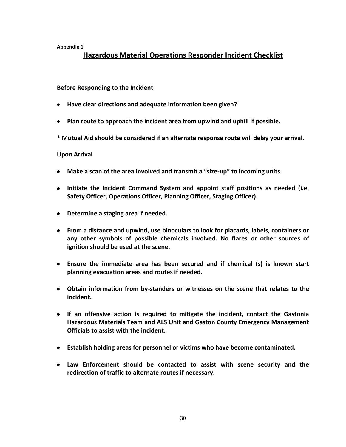**Appendix 1**

# **Hazardous Material Operations Responder Incident Checklist**

#### **Before Responding to the Incident**

- **Have clear directions and adequate information been given?**
- **Plan route to approach the incident area from upwind and uphill if possible.**
- **\* Mutual Aid should be considered if an alternate response route will delay your arrival.**

#### **Upon Arrival**

- **Make a scan of the area involved and transmit a "size-up" to incoming units.**
- **Initiate the Incident Command System and appoint staff positions as needed (i.e. Safety Officer, Operations Officer, Planning Officer, Staging Officer).**
- **Determine a staging area if needed.**
- **From a distance and upwind, use binoculars to look for placards, labels, containers or any other symbols of possible chemicals involved. No flares or other sources of ignition should be used at the scene.**
- **Ensure the immediate area has been secured and if chemical (s) is known start planning evacuation areas and routes if needed.**
- **Obtain information from by-standers or witnesses on the scene that relates to the incident.**
- **If an offensive action is required to mitigate the incident, contact the Gastonia Hazardous Materials Team and ALS Unit and Gaston County Emergency Management Officials to assist with the incident.**
- **Establish holding areas for personnel or victims who have become contaminated.**
- **Law Enforcement should be contacted to assist with scene security and the redirection of traffic to alternate routes if necessary.**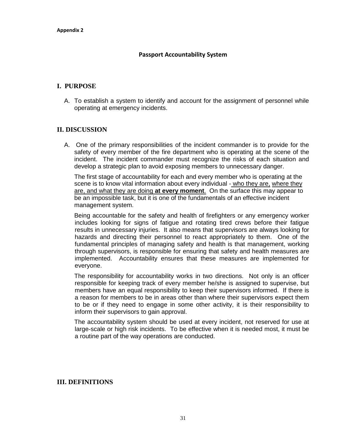#### **Passport Accountability System**

#### **I. PURPOSE**

A. To establish a system to identify and account for the assignment of personnel while operating at emergency incidents.

#### **II. DISCUSSION**

A. One of the primary responsibilities of the incident commander is to provide for the safety of every member of the fire department who is operating at the scene of the incident. The incident commander must recognize the risks of each situation and develop a strategic plan to avoid exposing members to unnecessary danger.

The first stage of accountability for each and every member who is operating at the scene is to know vital information about every individual - who they are, where they are, and what they are doing **at every moment**. On the surface this may appear to be an impossible task, but it is one of the fundamentals of an effective incident management system.

Being accountable for the safety and health of firefighters or any emergency worker includes looking for signs of fatigue and rotating tired crews before their fatigue results in unnecessary injuries. It also means that supervisors are always looking for hazards and directing their personnel to react appropriately to them. One of the fundamental principles of managing safety and health is that management, working through supervisors, is responsible for ensuring that safety and health measures are implemented. Accountability ensures that these measures are implemented for everyone.

The responsibility for accountability works in two directions. Not only is an officer responsible for keeping track of every member he/she is assigned to supervise, but members have an equal responsibility to keep their supervisors informed. If there is a reason for members to be in areas other than where their supervisors expect them to be or if they need to engage in some other activity, it is their responsibility to inform their supervisors to gain approval.

The accountability system should be used at every incident, not reserved for use at large-scale or high risk incidents. To be effective when it is needed most, it must be a routine part of the way operations are conducted.

#### **III. DEFINITIONS**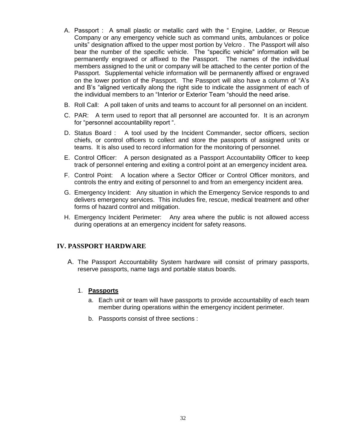- A. Passport : A small plastic or metallic card with the " Engine, Ladder, or Rescue Company or any emergency vehicle such as command units, ambulances or police units" designation affixed to the upper most portion by Velcro . The Passport will also bear the number of the specific vehicle. The "specific vehicle" information will be permanently engraved or affixed to the Passport. The names of the individual members assigned to the unit or company will be attached to the center portion of the Passport. Supplemental vehicle information will be permanently affixed or engraved on the lower portion of the Passport. The Passport will also have a column of "A's and B's "aligned vertically along the right side to indicate the assignment of each of the individual members to an "Interior or Exterior Team "should the need arise.
- B. Roll Call: A poll taken of units and teams to account for all personnel on an incident.
- C. PAR: A term used to report that all personnel are accounted for. It is an acronym for "personnel accountability report ".
- D. Status Board : A tool used by the Incident Commander, sector officers, section chiefs, or control officers to collect and store the passports of assigned units or teams. It is also used to record information for the monitoring of personnel.
- E. Control Officer: A person designated as a Passport Accountability Officer to keep track of personnel entering and exiting a control point at an emergency incident area.
- F. Control Point: A location where a Sector Officer or Control Officer monitors, and controls the entry and exiting of personnel to and from an emergency incident area.
- G. Emergency Incident: Any situation in which the Emergency Service responds to and delivers emergency services. This includes fire, rescue, medical treatment and other forms of hazard control and mitigation.
- H. Emergency Incident Perimeter: Any area where the public is not allowed access during operations at an emergency incident for safety reasons.

#### **IV. PASSPORT HARDWARE**

A. The Passport Accountability System hardware will consist of primary passports, reserve passports, name tags and portable status boards.

#### 1. **Passports**

- a. Each unit or team will have passports to provide accountability of each team member during operations within the emergency incident perimeter.
- b. Passports consist of three sections :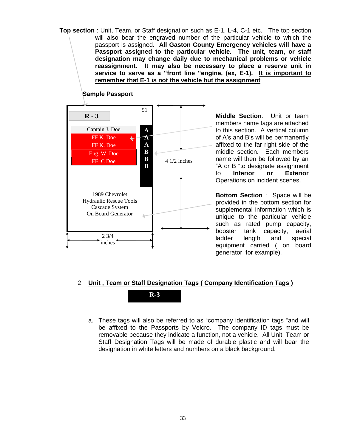**Top section** : Unit, Team, or Staff designation such as E-1, L-4, C-1 etc. The top section will also bear the engraved number of the particular vehicle to which the passport is assigned. **All Gaston County Emergency vehicles will have a Passport assigned to the particular vehicle. The unit, team, or staff designation may change daily due to mechanical problems or vehicle reassignment. It may also be necessary to place a reserve unit in service to serve as a "front line "engine, (ex, E-1). It is important to remember that E-1 is not the vehicle but the assignment**



**Sample Passport**

**Middle Section**: Unit or team members name tags are attached to this section. A vertical column of A's and B's will be permanently affixed to the far right side of the middle section. Each members name will then be followed by an "A or B "to designate assignment to **Interior or Exterior**  Operations on incident scenes.

**Bottom Section** : Space will be provided in the bottom section for supplemental information which is unique to the particular vehicle such as rated pump capacity, booster tank capacity, aerial ladder length and special equipment carried ( on board generator for example).

# 2. **Unit , Team or Staff Designation Tags ( Company Identification Tags )**

**R-3**

a. These tags will also be referred to as "company identification tags "and will be affixed to the Passports by Velcro. The company ID tags must be removable because they indicate a function, not a vehicle. All Unit, Team or Staff Designation Tags will be made of durable plastic and will bear the designation in white letters and numbers on a black background.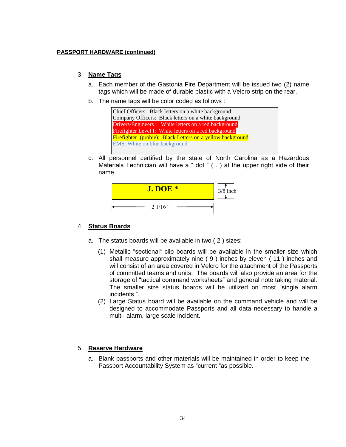#### **PASSPORT HARDWARE (continued)**

#### 3. **Name Tags**

- a. Each member of the Gastonia Fire Department will be issued two (2) name tags which will be made of durable plastic with a Velcro strip on the rear.
- b. The name tags will be color coded as follows :



c. All personnel certified by the state of North Carolina as a Hazardous Materials Technician will have a " dot " ( . ) at the upper right side of their name.



#### 4. **Status Boards**

- a. The status boards will be available in two ( 2 ) sizes:
	- (1) Metallic "sectional" clip boards will be available in the smaller size which shall measure approximately nine ( 9 ) inches by eleven ( 11 ) inches and will consist of an area covered in Velcro for the attachment of the Passports of committed teams and units. The boards will also provide an area for the storage of "tactical command worksheets" and general note taking material. The smaller size status boards will be utilized on most "single alarm incidents ".
	- (2) Large Status board will be available on the command vehicle and will be designed to accommodate Passports and all data necessary to handle a multi- alarm, large scale incident.

#### 5. **Reserve Hardware**

a. Blank passports and other materials will be maintained in order to keep the Passport Accountability System as "current "as possible.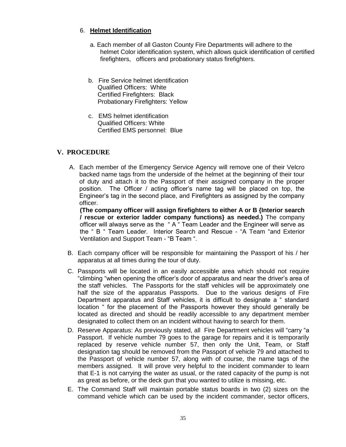# 6. **Helmet Identification**

- a. Each member of all Gaston County Fire Departments will adhere to the helmet Color identification system, which allows quick identification of certified firefighters, officers and probationary status firefighters.
- b. Fire Service helmet identification Qualified Officers: White Certified Firefighters: Black Probationary Firefighters: Yellow
- c. EMS helmet identification Qualified Officers: White Certified EMS personnel: Blue

# **V. PROCEDURE**

A. Each member of the Emergency Service Agency will remove one of their Velcro backed name tags from the underside of the helmet at the beginning of their tour of duty and attach it to the Passport of their assigned company in the proper position. The Officer / acting officer's name tag will be placed on top, the Engineer's tag in the second place, and Firefighters as assigned by the company officer.

**(The company officer will assign firefighters to either A or B {Interior search / rescue or exterior ladder company functions} as needed.)** The company officer will always serve as the " A " Team Leader and the Engineer will serve as the " B " Team Leader. Interior Search and Rescue - "A Team "and Exterior Ventilation and Support Team - "B Team ".

- B. Each company officer will be responsible for maintaining the Passport of his / her apparatus at all times during the tour of duty.
- C. Passports will be located in an easily accessible area which should not require "climbing "when opening the officer's door of apparatus and near the driver's area of the staff vehicles. The Passports for the staff vehicles will be approximately one half the size of the apparatus Passports. Due to the various designs of Fire Department apparatus and Staff vehicles, it is difficult to designate a " standard location " for the placement of the Passports however they should generally be located as directed and should be readily accessible to any department member designated to collect them on an incident without having to search for them.
- D. Reserve Apparatus: As previously stated, all Fire Department vehicles will "carry "a Passport. If vehicle number 79 goes to the garage for repairs and it is temporarily replaced by reserve vehicle number 57, then only the Unit, Team, or Staff designation tag should be removed from the Passport of vehicle 79 and attached to the Passport of vehicle number 57, along with of course, the name tags of the members assigned. It will prove very helpful to the incident commander to learn that E-1 is not carrying the water as usual, or the rated capacity of the pump is not as great as before, or the deck gun that you wanted to utilize is missing, etc.
- E. The Command Staff will maintain portable status boards in two (2) sizes on the command vehicle which can be used by the incident commander, sector officers,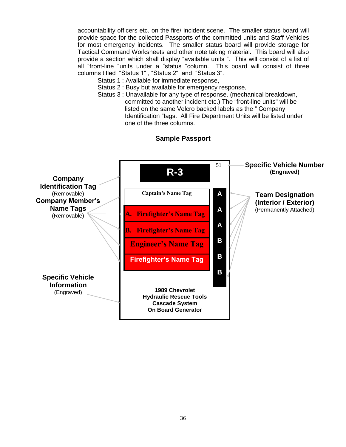accountability officers etc. on the fire/ incident scene. The smaller status board will provide space for the collected Passports of the committed units and Staff Vehicles for most emergency incidents. The smaller status board will provide storage for Tactical Command Worksheets and other note taking material. This board will also provide a section which shall display "available units ". This will consist of a list of all "front-line "units under a "status "column. This board will consist of three columns titled "Status 1" , "Status 2" and "Status 3".

- Status 1 : Available for immediate response,
- Status 2 : Busy but available for emergency response,
- Status 3 : Unavailable for any type of response. (mechanical breakdown, committed to another incident etc.) The "front-line units" will be listed on the same Velcro backed labels as the " Company Identification "tags. All Fire Department Units will be listed under one of the three columns.



#### **Sample Passport**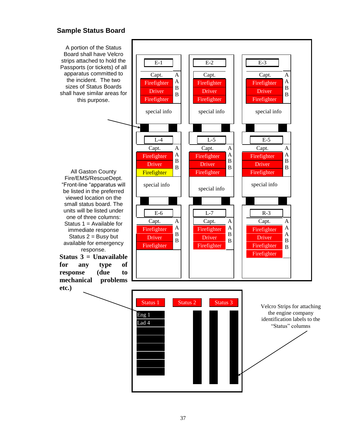# **Sample Status Board**